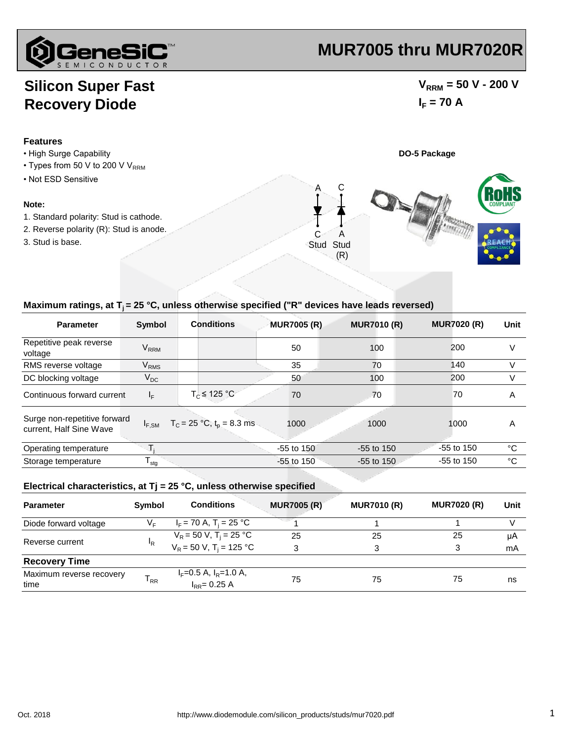

# **MUR7005 thru MUR7020R**

### **Silicon Super Fast Recovery Diode**

### $V_{\text{RRM}}$  = 50 V - 200 V  $I_F = 70 A$



#### Maximum ratings, at T<sub>i</sub> = 25 °C, unless otherwise specified ("R" devices have leads reversed)

| <b>Parameter</b>                                        | <b>Symbol</b>          | <b>Conditions</b>              | <b>MUR7005 (R)</b> | <b>MUR7010 (R)</b> | <b>MUR7020 (R)</b> | Unit |
|---------------------------------------------------------|------------------------|--------------------------------|--------------------|--------------------|--------------------|------|
| Repetitive peak reverse<br>voltage                      | <b>V<sub>RRM</sub></b> |                                | 50                 | 100                | 200                | V    |
| RMS reverse voltage                                     | <b>V<sub>RMS</sub></b> |                                | 35                 | 70                 | 140                | V    |
| DC blocking voltage                                     | $V_{DC}$               |                                | 50                 | 100                | 200                | V    |
| Continuous forward current                              | $I_F$                  | $T_c \leq 125 °C$              | 70                 | 70                 | 70                 | A    |
| Surge non-repetitive forward<br>current, Half Sine Wave | $I_{F,SM}$             | $T_c = 25 °C$ , $t_p = 8.3$ ms | 1000               | 1000               | 1000               | A    |
| Operating temperature                                   |                        |                                | $-55$ to $150$     | $-55$ to 150       | $-55$ to 150       | °C   |
| Storage temperature                                     | $T_{\text{stg}}$       |                                | $-55$ to $150$     | $-55$ to 150       | $-55$ to 150       | °C   |

#### **Electrical characteristics, at Tj = 25 °C, unless otherwise specified**

| <b>Parameter</b>                 | Symbol         | <b>Conditions</b>                            | <b>MUR7005 (R)</b> | <b>MUR7010 (R)</b> | <b>MUR7020 (R)</b> | Unit |
|----------------------------------|----------------|----------------------------------------------|--------------------|--------------------|--------------------|------|
| Diode forward voltage            | V⊧             | $I_F$ = 70 A, T <sub>i</sub> = 25 °C         |                    |                    |                    |      |
|                                  | <sup>I</sup> R | $V_R$ = 50 V, T <sub>i</sub> = 25 °C         | 25                 | 25                 | 25                 | μA   |
| Reverse current                  |                | $V_R = 50 V$ , T <sub>i</sub> = 125 °C       | 3                  | 3                  | 3                  | mA   |
| <b>Recovery Time</b>             |                |                                              |                    |                    |                    |      |
| Maximum reverse recovery<br>time | $T_{RR}$       | $I_F=0.5$ A, $I_R=1.0$ A,<br>$I_{RR}=0.25$ A | 75                 | 75                 | 75                 | ns   |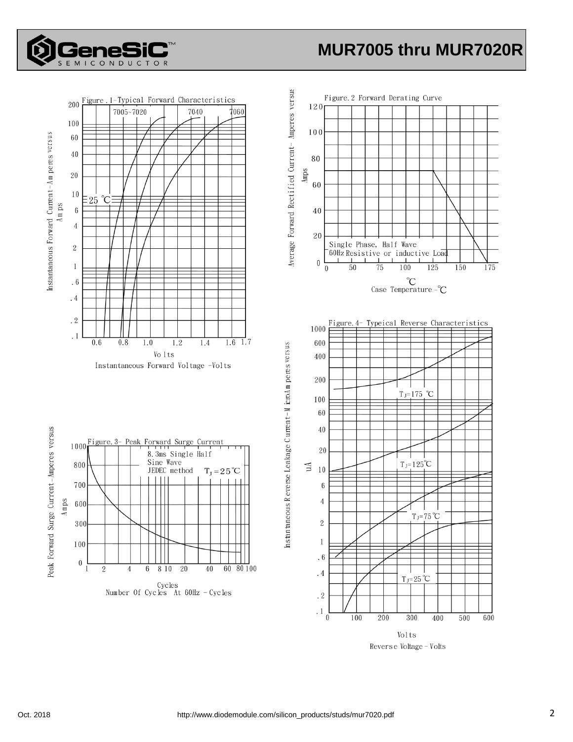

## **MUR7005 thru MUR7020R**



Volts Reverse Voltage - Volts